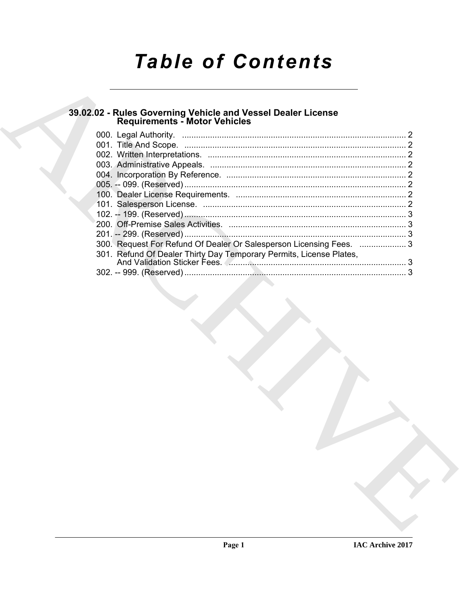# **Table of Contents**

### 39.02.02 - Rules Governing Vehicle and Vessel Dealer License<br>Requirements - Motor Vehicles

| 300. Request For Refund Of Dealer Or Salesperson Licensing Fees.  3 |  |
|---------------------------------------------------------------------|--|
| 301. Refund Of Dealer Thirty Day Temporary Permits, License Plates, |  |
|                                                                     |  |
|                                                                     |  |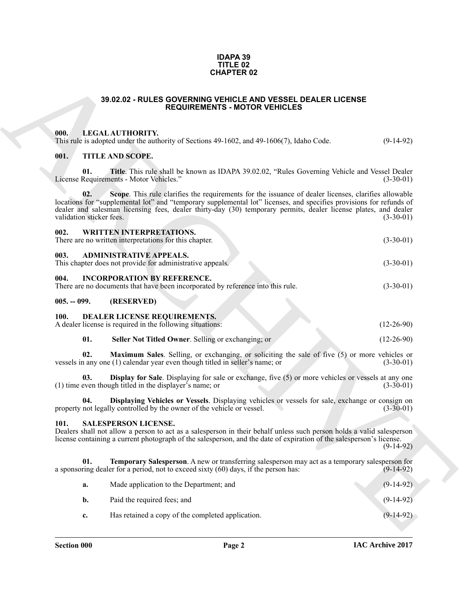#### **IDAPA 39 TITLE 02 CHAPTER 02**

#### **39.02.02 - RULES GOVERNING VEHICLE AND VESSEL DEALER LICENSE REQUIREMENTS - MOTOR VEHICLES**

#### <span id="page-1-1"></span><span id="page-1-0"></span>**000. LEGAL AUTHORITY.**

#### <span id="page-1-5"></span><span id="page-1-4"></span><span id="page-1-3"></span><span id="page-1-2"></span>**001. TITLE AND SCOPE.**

| <b>CHAPTER 02</b><br>39.02.02 - RULES GOVERNING VEHICLE AND VESSEL DEALER LICENSE<br><b>REQUIREMENTS - MOTOR VEHICLES</b> |                                 |                                                                                                                                                                                                                                                                                                                                                |              |  |  |
|---------------------------------------------------------------------------------------------------------------------------|---------------------------------|------------------------------------------------------------------------------------------------------------------------------------------------------------------------------------------------------------------------------------------------------------------------------------------------------------------------------------------------|--------------|--|--|
|                                                                                                                           |                                 |                                                                                                                                                                                                                                                                                                                                                |              |  |  |
|                                                                                                                           | 001.                            | <b>TITLE AND SCOPE.</b>                                                                                                                                                                                                                                                                                                                        |              |  |  |
|                                                                                                                           | 01.                             | Title. This rule shall be known as IDAPA 39.02.02, "Rules Governing Vehicle and Vessel Dealer<br>License Requirements - Motor Vehicles."                                                                                                                                                                                                       | $(3-30-01)$  |  |  |
|                                                                                                                           | 02.<br>validation sticker fees. | Scope. This rule clarifies the requirements for the issuance of dealer licenses, clarifies allowable<br>locations for "supplemental lot" and "temporary supplemental lot" licenses, and specifies provisions for refunds of<br>dealer and salesman licensing fees, dealer thirty-day (30) temporary permits, dealer license plates, and dealer | $(3-30-01)$  |  |  |
|                                                                                                                           | 002.                            | <b>WRITTEN INTERPRETATIONS.</b><br>There are no written interpretations for this chapter.                                                                                                                                                                                                                                                      | $(3-30-01)$  |  |  |
|                                                                                                                           | 003.                            | <b>ADMINISTRATIVE APPEALS.</b><br>This chapter does not provide for administrative appeals.                                                                                                                                                                                                                                                    | $(3-30-01)$  |  |  |
|                                                                                                                           | 004.                            | <b>INCORPORATION BY REFERENCE.</b><br>There are no documents that have been incorporated by reference into this rule.                                                                                                                                                                                                                          | $(3-30-01)$  |  |  |
|                                                                                                                           | $005. - 099.$                   | (RESERVED)                                                                                                                                                                                                                                                                                                                                     |              |  |  |
|                                                                                                                           | <b>100.</b>                     | DEALER LICENSE REQUIREMENTS.<br>A dealer license is required in the following situations:                                                                                                                                                                                                                                                      | $(12-26-90)$ |  |  |
|                                                                                                                           | 01.                             | Seller Not Titled Owner. Selling or exchanging; or                                                                                                                                                                                                                                                                                             | $(12-26-90)$ |  |  |
|                                                                                                                           | 02.                             | <b>Maximum Sales.</b> Selling, or exchanging, or soliciting the sale of five (5) or more vehicles or<br>vessels in any one (1) calendar year even though titled in seller's name; or                                                                                                                                                           | $(3-30-01)$  |  |  |
|                                                                                                                           | 03.                             | <b>Display for Sale</b> . Displaying for sale or exchange, five (5) or more vehicles or vessels at any one<br>(1) time even though titled in the displayer's name; or                                                                                                                                                                          | $(3-30-01)$  |  |  |
|                                                                                                                           | 04.                             | Displaying Vehicles or Vessels. Displaying vehicles or vessels for sale, exchange or consign on<br>property not legally controlled by the owner of the vehicle or vessel.                                                                                                                                                                      | $(3-30-01)$  |  |  |
|                                                                                                                           | 101.                            | <b>SALESPERSON LICENSE.</b><br>Dealers shall not allow a person to act as a salesperson in their behalf unless such person holds a valid salesperson<br>license containing a current photograph of the salesperson, and the date of expiration of the salesperson's license.                                                                   | $(9-14-92)$  |  |  |
|                                                                                                                           | 01.                             | Temporary Salesperson. A new or transferring salesperson may act as a temporary salesperson for<br>a sponsoring dealer for a period, not to exceed sixty (60) days, if the person has:                                                                                                                                                         | $(9-14-92)$  |  |  |
|                                                                                                                           | a.                              | Made application to the Department; and                                                                                                                                                                                                                                                                                                        | $(9-14-92)$  |  |  |
|                                                                                                                           | b.                              | Paid the required fees; and                                                                                                                                                                                                                                                                                                                    | $(9-14-92)$  |  |  |
|                                                                                                                           | c.                              | Has retained a copy of the completed application.                                                                                                                                                                                                                                                                                              | $(9-14-92)$  |  |  |
|                                                                                                                           |                                 |                                                                                                                                                                                                                                                                                                                                                |              |  |  |

#### <span id="page-1-14"></span><span id="page-1-13"></span><span id="page-1-12"></span><span id="page-1-11"></span><span id="page-1-10"></span><span id="page-1-9"></span><span id="page-1-8"></span><span id="page-1-7"></span><span id="page-1-6"></span>**101. SALESPERSON LICENSE.**

<span id="page-1-15"></span>

| а.             | Made application to the Department; and           | $(9-14-92)$ |
|----------------|---------------------------------------------------|-------------|
|                | Paid the required fees; and                       | $(9-14-92)$ |
| $\mathbf{c}$ . | Has retained a copy of the completed application. | $(9-14-92)$ |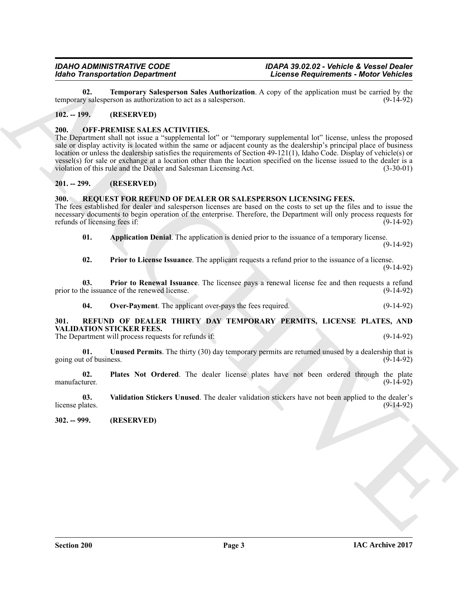<span id="page-2-16"></span>**02. Temporary Salesperson Sales Authorization**. A copy of the application must be carried by the v salesperson as authorization to act as a salesperson. temporary salesperson as authorization to act as a salesperson.

#### <span id="page-2-6"></span><span id="page-2-0"></span>**102. -- 199. (RESERVED)**

#### <span id="page-2-1"></span>**200. OFF-PREMISE SALES ACTIVITIES.**

**External on the proposition** Character Character (as equivalent in the same of the specific order (as equivalent in the same of the specific order of the specific order of the specific order of the specific order of the The Department shall not issue a "supplemental lot" or "temporary supplemental lot" license, unless the proposed sale or display activity is located within the same or adjacent county as the dealership's principal place of business location or unless the dealership satisfies the requirements of Section 49-121(1), Idaho Code. Display of vehicle(s) or vessel(s) for sale or exchange at a location other than the location specified on the license issued to the dealer is a violation of this rule and the Dealer and Salesman Licensing Act. (3-30-01)

#### <span id="page-2-2"></span>**201. -- 299. (RESERVED)**

#### <span id="page-2-11"></span><span id="page-2-3"></span>**300. REQUEST FOR REFUND OF DEALER OR SALESPERSON LICENSING FEES.**

The fees established for dealer and salesperson licenses are based on the costs to set up the files and to issue the necessary documents to begin operation of the enterprise. Therefore, the Department will only process requests for refunds of licensing fees if: (9-14-92)

<span id="page-2-12"></span>**01. Application Denial**. The application is denied prior to the issuance of a temporary license.

(9-14-92)

<span id="page-2-15"></span><span id="page-2-14"></span>**02. Prior to License Issuance**. The applicant requests a refund prior to the issuance of a license.

(9-14-92)

**03. Prior to Renewal Issuance**. The licensee pays a renewal license fee and then requests a refund prior to the issuance of the renewed license. (9-14-92)

<span id="page-2-13"></span><span id="page-2-9"></span><span id="page-2-7"></span>**04.** Over-Payment. The applicant over-pays the fees required. (9-14-92)

#### <span id="page-2-4"></span>**301. REFUND OF DEALER THIRTY DAY TEMPORARY PERMITS, LICENSE PLATES, AND VALIDATION STICKER FEES.**

The Department will process requests for refunds if: (9-14-92)

**01. Unused Permits**. The thirty (30) day temporary permits are returned unused by a dealership that is going out of business. (9-14-92)

<span id="page-2-8"></span>**02. Plates Not Ordered**. The dealer license plates have not been ordered through the plate manufacturer. (9-14-92)

<span id="page-2-10"></span>**03. Validation Stickers Unused**. The dealer validation stickers have not been applied to the dealer's license plates. (9-14-92)

<span id="page-2-5"></span>**302. -- 999. (RESERVED)**